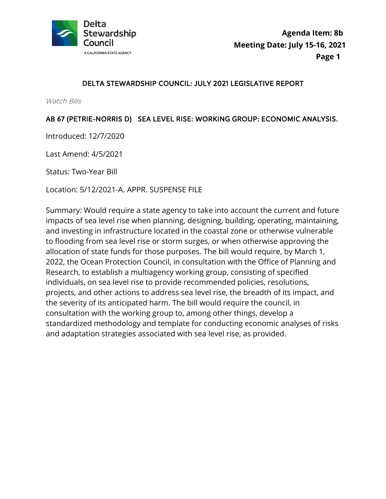

### DELTA STEWARDSHIP COUNCIL: JULY 2021 LEGISLATIVE REPORT

Watch Bills

#### AB 67 (PETRIE-NORRIS D) SEA LEVEL RISE: WORKING GROUP: ECONOMIC ANALYSIS.

Introduced: 12/7/2020

Last Amend: 4/5/2021

Status: Two-Year Bill

Location: 5/12/2021-A. APPR. SUSPENSE FILE

Summary: Would require a state agency to take into account the current and future impacts of sea level rise when planning, designing, building, operating, maintaining, and investing in infrastructure located in the coastal zone or otherwise vulnerable to flooding from sea level rise or storm surges, or when otherwise approving the allocation of state funds for those purposes. The bill would require, by March 1, 2022, the Ocean Protection Council, in consultation with the Office of Planning and Research, to establish a multiagency working group, consisting of specified individuals, on sea level rise to provide recommended policies, resolutions, projects, and other actions to address sea level rise, the breadth of its impact, and the severity of its anticipated harm. The bill would require the council, in consultation with the working group to, among other things, develop a standardized methodology and template for conducting economic analyses of risks and adaptation strategies associated with sea level rise, as provided.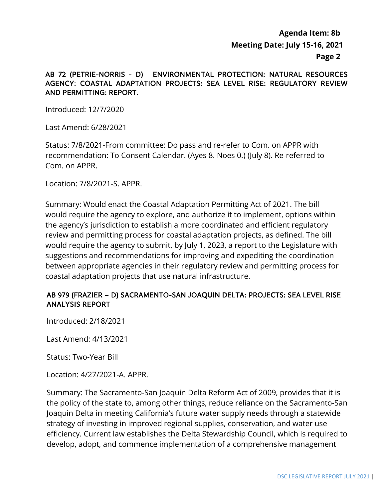#### AB 72 (PETRIE-NORRIS - D) ENVIRONMENTAL PROTECTION: NATURAL RESOURCES AGENCY: COASTAL ADAPTATION PROJECTS: SEA LEVEL RISE: REGULATORY REVIEW AND PERMITTING: REPORT.

Introduced: 12/7/2020

Last Amend: 6/28/2021

 Com. on APPR. Status: 7/8/2021-From committee: Do pass and re-refer to Com. on APPR with recommendation: To Consent Calendar. (Ayes 8. Noes 0.) (July 8). Re-referred to

Location: 7/8/2021-S. APPR.

Summary: Would enact the Coastal Adaptation Permitting Act of 2021. The bill would require the agency to explore, and authorize it to implement, options within the agency's jurisdiction to establish a more coordinated and efficient regulatory review and permitting process for coastal adaptation projects, as defined. The bill would require the agency to submit, by July 1, 2023, a report to the Legislature with suggestions and recommendations for improving and expediting the coordination between appropriate agencies in their regulatory review and permitting process for coastal adaptation projects that use natural infrastructure.

### AB 979 (FRAZIER – D) SACRAMENTO-SAN JOAQUIN DELTA: PROJECTS: SEA LEVEL RISE ANALYSIS REPORT

Introduced: 2/18/2021

Last Amend: 4/13/2021

Status: Two-Year Bill

Location: 4/27/2021-A. APPR.

Summary: The Sacramento-San Joaquin Delta Reform Act of 2009, provides that it is the policy of the state to, among other things, reduce reliance on the Sacramento-San Joaquin Delta in meeting California's future water supply needs through a statewide strategy of investing in improved regional supplies, conservation, and water use efficiency. Current law establishes the Delta Stewardship Council, which is required to develop, adopt, and commence implementation of a comprehensive management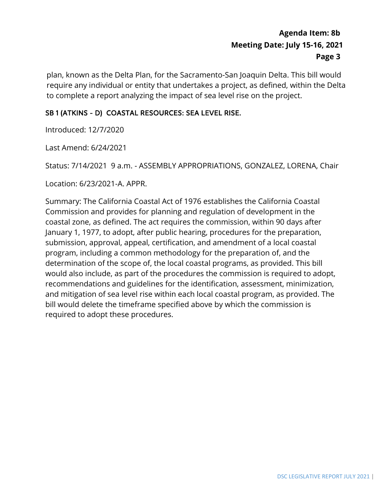plan, known as the Delta Plan, for the Sacramento-San Joaquin Delta. This bill would require any individual or entity that undertakes a project, as defined, within the Delta to complete a report analyzing the impact of sea level rise on the project.

## SB 1 (ATKINS - D) COASTAL RESOURCES: SEA LEVEL RISE.

Introduced: 12/7/2020

Last Amend: 6/24/2021

Status: 7/14/2021 9 a.m. - ASSEMBLY APPROPRIATIONS, GONZALEZ, LORENA, Chair

Location: 6/23/2021-A. APPR.

 Commission and provides for planning and regulation of development in the determination of the scope of, the local coastal programs, as provided. This bill bill would delete the timeframe specified above by which the commission is required to adopt these procedures. Summary: The California Coastal Act of 1976 establishes the California Coastal coastal zone, as defined. The act requires the commission, within 90 days after January 1, 1977, to adopt, after public hearing, procedures for the preparation, submission, approval, appeal, certification, and amendment of a local coastal program, including a common methodology for the preparation of, and the would also include, as part of the procedures the commission is required to adopt, recommendations and guidelines for the identification, assessment, minimization, and mitigation of sea level rise within each local coastal program, as provided. The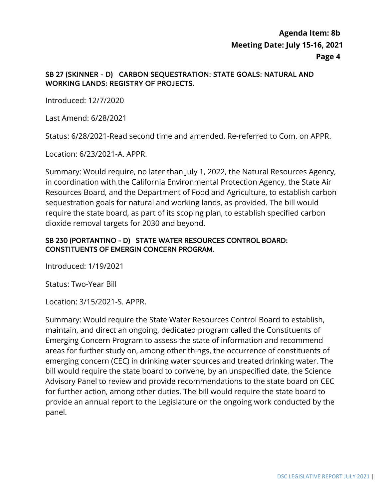#### SB 27 (SKINNER - D) CARBON SEQUESTRATION: STATE GOALS: NATURAL AND WORKING LANDS: REGISTRY OF PROJECTS.

Introduced: 12/7/2020

Last Amend: 6/28/2021

Status: 6/28/2021-Read second time and amended. Re-referred to Com. on APPR.

Location: 6/23/2021-A. APPR.

Summary: Would require, no later than July 1, 2022, the Natural Resources Agency, in coordination with the California Environmental Protection Agency, the State Air Resources Board, and the Department of Food and Agriculture, to establish carbon sequestration goals for natural and working lands, as provided. The bill would require the state board, as part of its scoping plan, to establish specified carbon dioxide removal targets for 2030 and beyond.

#### SB 230 (PORTANTINO - D) STATE WATER RESOURCES CONTROL BOARD: CONSTITUENTS OF EMERGIN CONCERN PROGRAM.

Introduced: 1/19/2021

Status: Two-Year Bill

Location: 3/15/2021-S. APPR.

 Advisory Panel to review and provide recommendations to the state board on CEC Summary: Would require the State Water Resources Control Board to establish, maintain, and direct an ongoing, dedicated program called the Constituents of Emerging Concern Program to assess the state of information and recommend areas for further study on, among other things, the occurrence of constituents of emerging concern (CEC) in drinking water sources and treated drinking water. The bill would require the state board to convene, by an unspecified date, the Science for further action, among other duties. The bill would require the state board to provide an annual report to the Legislature on the ongoing work conducted by the panel.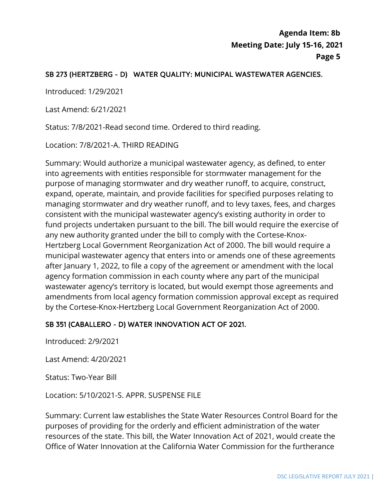## SB 273 (HERTZBERG - D) WATER QUALITY: MUNICIPAL WASTEWATER AGENCIES.

Introduced: 1/29/2021

Last Amend: 6/21/2021

Status: 7/8/2021-Read second time. Ordered to third reading.

Location: 7/8/2021-A. THIRD READING

 consistent with the municipal wastewater agency's existing authority in order to after January 1, 2022, to file a copy of the agreement or amendment with the local Summary: Would authorize a municipal wastewater agency, as defined, to enter into agreements with entities responsible for stormwater management for the purpose of managing stormwater and dry weather runoff, to acquire, construct, expand, operate, maintain, and provide facilities for specified purposes relating to managing stormwater and dry weather runoff, and to levy taxes, fees, and charges fund projects undertaken pursuant to the bill. The bill would require the exercise of any new authority granted under the bill to comply with the Cortese-Knox-Hertzberg Local Government Reorganization Act of 2000. The bill would require a municipal wastewater agency that enters into or amends one of these agreements agency formation commission in each county where any part of the municipal wastewater agency's territory is located, but would exempt those agreements and amendments from local agency formation commission approval except as required by the Cortese-Knox-Hertzberg Local Government Reorganization Act of 2000.

### SB 351 (CABALLERO - D) WATER INNOVATION ACT OF 2021.

Introduced: 2/9/2021

Last Amend: 4/20/2021

Status: Two-Year Bill

Location: 5/10/2021-S. APPR. SUSPENSE FILE

 Summary: Current law establishes the State Water Resources Control Board for the purposes of providing for the orderly and efficient administration of the water resources of the state. This bill, the Water Innovation Act of 2021, would create the Office of Water Innovation at the California Water Commission for the furtherance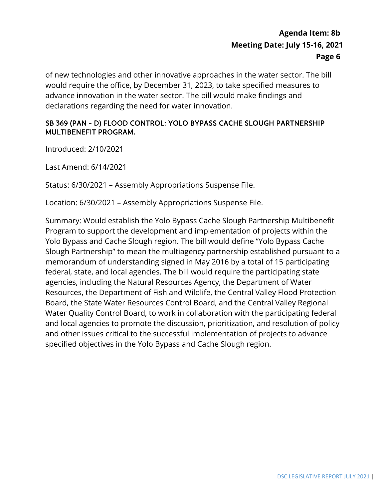of new technologies and other innovative approaches in the water sector. The bill would require the office, by December 31, 2023, to take specified measures to advance innovation in the water sector. The bill would make findings and declarations regarding the need for water innovation.

#### SB 369 (PAN - D) FLOOD CONTROL: YOLO BYPASS CACHE SLOUGH PARTNERSHIP MULTIBENEFIT PROGRAM.

Introduced: 2/10/2021

Last Amend: 6/14/2021

Status: 6/30/2021 – Assembly Appropriations Suspense File.

Location: 6/30/2021 – Assembly Appropriations Suspense File.

 Yolo Bypass and Cache Slough region. The bill would define "Yolo Bypass Cache and local agencies to promote the discussion, prioritization, and resolution of policy Summary: Would establish the Yolo Bypass Cache Slough Partnership Multibenefit Program to support the development and implementation of projects within the Slough Partnership" to mean the multiagency partnership established pursuant to a memorandum of understanding signed in May 2016 by a total of 15 participating federal, state, and local agencies. The bill would require the participating state agencies, including the Natural Resources Agency, the Department of Water Resources, the Department of Fish and Wildlife, the Central Valley Flood Protection Board, the State Water Resources Control Board, and the Central Valley Regional Water Quality Control Board, to work in collaboration with the participating federal and other issues critical to the successful implementation of projects to advance specified objectives in the Yolo Bypass and Cache Slough region.